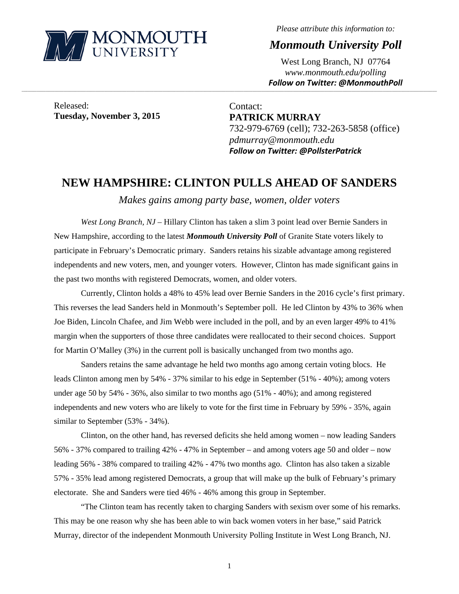

*Please attribute this information to:* 

*Monmouth University Poll* 

West Long Branch, NJ 07764 *www.monmouth.edu/polling Follow on Twitter: @MonmouthPoll*

Released: **Tuesday, November 3, 2015** 

Contact: **PATRICK MURRAY**  732-979-6769 (cell); 732-263-5858 (office) *pdmurray@monmouth.edu Follow on Twitter: @PollsterPatrick*

## **NEW HAMPSHIRE: CLINTON PULLS AHEAD OF SANDERS**

,一个人的人都是不是,我们的人都是不是,我们的人都是不是,我们的人都是不是,我们的人都是不是,我们的人都是不是,我们的人都是不是,我们的人都是不是,我们的人都是不

*Makes gains among party base, women, older voters* 

*West Long Branch, NJ* – Hillary Clinton has taken a slim 3 point lead over Bernie Sanders in New Hampshire, according to the latest *Monmouth University Poll* of Granite State voters likely to participate in February's Democratic primary. Sanders retains his sizable advantage among registered independents and new voters, men, and younger voters. However, Clinton has made significant gains in the past two months with registered Democrats, women, and older voters.

Currently, Clinton holds a 48% to 45% lead over Bernie Sanders in the 2016 cycle's first primary. This reverses the lead Sanders held in Monmouth's September poll. He led Clinton by 43% to 36% when Joe Biden, Lincoln Chafee, and Jim Webb were included in the poll, and by an even larger 49% to 41% margin when the supporters of those three candidates were reallocated to their second choices. Support for Martin O'Malley (3%) in the current poll is basically unchanged from two months ago.

Sanders retains the same advantage he held two months ago among certain voting blocs. He leads Clinton among men by 54% - 37% similar to his edge in September (51% - 40%); among voters under age 50 by 54% - 36%, also similar to two months ago (51% - 40%); and among registered independents and new voters who are likely to vote for the first time in February by 59% - 35%, again similar to September (53% - 34%).

Clinton, on the other hand, has reversed deficits she held among women – now leading Sanders 56% - 37% compared to trailing 42% - 47% in September – and among voters age 50 and older – now leading 56% - 38% compared to trailing 42% - 47% two months ago. Clinton has also taken a sizable 57% - 35% lead among registered Democrats, a group that will make up the bulk of February's primary electorate. She and Sanders were tied 46% - 46% among this group in September.

"The Clinton team has recently taken to charging Sanders with sexism over some of his remarks. This may be one reason why she has been able to win back women voters in her base," said Patrick Murray, director of the independent Monmouth University Polling Institute in West Long Branch, NJ.

1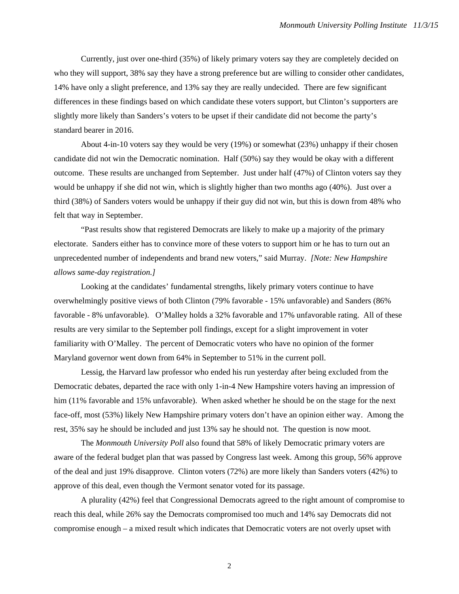Currently, just over one-third (35%) of likely primary voters say they are completely decided on who they will support, 38% say they have a strong preference but are willing to consider other candidates, 14% have only a slight preference, and 13% say they are really undecided. There are few significant differences in these findings based on which candidate these voters support, but Clinton's supporters are slightly more likely than Sanders's voters to be upset if their candidate did not become the party's standard bearer in 2016.

About 4-in-10 voters say they would be very (19%) or somewhat (23%) unhappy if their chosen candidate did not win the Democratic nomination. Half (50%) say they would be okay with a different outcome. These results are unchanged from September. Just under half (47%) of Clinton voters say they would be unhappy if she did not win, which is slightly higher than two months ago (40%). Just over a third (38%) of Sanders voters would be unhappy if their guy did not win, but this is down from 48% who felt that way in September.

"Past results show that registered Democrats are likely to make up a majority of the primary electorate. Sanders either has to convince more of these voters to support him or he has to turn out an unprecedented number of independents and brand new voters," said Murray. *[Note: New Hampshire allows same-day registration.]*

Looking at the candidates' fundamental strengths, likely primary voters continue to have overwhelmingly positive views of both Clinton (79% favorable - 15% unfavorable) and Sanders (86% favorable - 8% unfavorable). O'Malley holds a 32% favorable and 17% unfavorable rating. All of these results are very similar to the September poll findings, except for a slight improvement in voter familiarity with O'Malley. The percent of Democratic voters who have no opinion of the former Maryland governor went down from 64% in September to 51% in the current poll.

Lessig, the Harvard law professor who ended his run yesterday after being excluded from the Democratic debates, departed the race with only 1-in-4 New Hampshire voters having an impression of him (11% favorable and 15% unfavorable). When asked whether he should be on the stage for the next face-off, most (53%) likely New Hampshire primary voters don't have an opinion either way. Among the rest, 35% say he should be included and just 13% say he should not. The question is now moot.

The *Monmouth University Poll* also found that 58% of likely Democratic primary voters are aware of the federal budget plan that was passed by Congress last week. Among this group, 56% approve of the deal and just 19% disapprove. Clinton voters (72%) are more likely than Sanders voters (42%) to approve of this deal, even though the Vermont senator voted for its passage.

A plurality (42%) feel that Congressional Democrats agreed to the right amount of compromise to reach this deal, while 26% say the Democrats compromised too much and 14% say Democrats did not compromise enough – a mixed result which indicates that Democratic voters are not overly upset with

2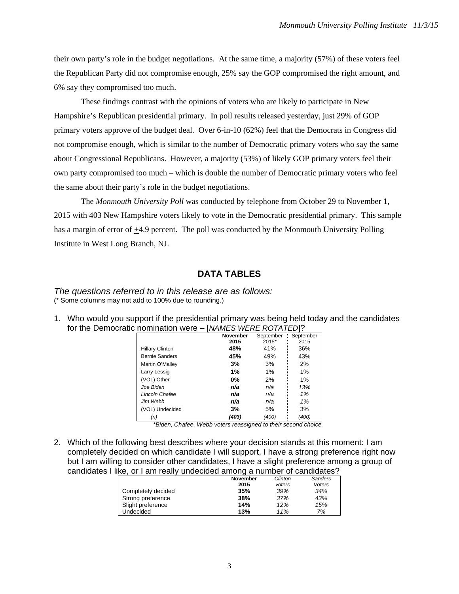their own party's role in the budget negotiations. At the same time, a majority (57%) of these voters feel the Republican Party did not compromise enough, 25% say the GOP compromised the right amount, and 6% say they compromised too much.

These findings contrast with the opinions of voters who are likely to participate in New Hampshire's Republican presidential primary. In poll results released yesterday, just 29% of GOP primary voters approve of the budget deal. Over 6-in-10 (62%) feel that the Democrats in Congress did not compromise enough, which is similar to the number of Democratic primary voters who say the same about Congressional Republicans. However, a majority (53%) of likely GOP primary voters feel their own party compromised too much – which is double the number of Democratic primary voters who feel the same about their party's role in the budget negotiations.

The *Monmouth University Poll* was conducted by telephone from October 29 to November 1, 2015 with 403 New Hampshire voters likely to vote in the Democratic presidential primary. This sample has a margin of error of  $\pm$ 4.9 percent. The poll was conducted by the Monmouth University Polling Institute in West Long Branch, NJ.

## **DATA TABLES**

*The questions referred to in this release are as follows:*  (\* Some columns may not add to 100% due to rounding.)

1. Who would you support if the presidential primary was being held today and the candidates for the Democratic nomination were – [*NAMES WERE ROTATED*]?

|                        | <b>November</b> | September | September |
|------------------------|-----------------|-----------|-----------|
|                        | 2015            | $2015*$   | 2015      |
| <b>Hillary Clinton</b> | 48%             | 41%       | 36%       |
| <b>Bernie Sanders</b>  | 45%             | 49%       | 43%       |
| Martin O'Malley        | 3%              | 3%        | 2%        |
| Larry Lessig           | 1%              | 1%        | 1%        |
| (VOL) Other            | $0\%$           | 2%        | $1\%$     |
| Joe Biden              | n/a             | n/a       | 13%       |
| Lincoln Chafee         | n/a             | n/a       | 1%        |
| Jim Webb               | n/a             | n/a       | 1%        |
| (VOL) Undecided        | 3%              | 5%        | 3%        |
| (n)                    | (403)           | (400)     | (400)     |

 *\*Biden, Chafee, Webb voters reassigned to their second choice.* 

2. Which of the following best describes where your decision stands at this moment: I am completely decided on which candidate I will support, I have a strong preference right now but I am willing to consider other candidates, I have a slight preference among a group of candidates I like, or I am really undecided among a number of candidates?

|                    | <b>November</b> | Clinton | Sanders |
|--------------------|-----------------|---------|---------|
|                    | 2015            | voters  | Voters  |
| Completely decided | 35%             | 39%     | 34%     |
| Strong preference  | 38%             | 37%     | 43%     |
| Slight preference  | 14%             | 12%     | 15%     |
| Undecided          | 13%             | 11%     | 7%      |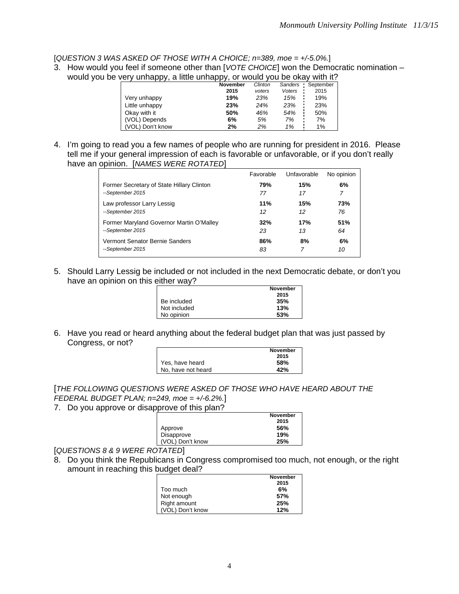[*QUESTION 3 WAS ASKED OF THOSE WITH A CHOICE; n=389, moe = +/-5.0%.*]

3. How would you feel if someone other than [*VOTE CHOICE*] won the Democratic nomination – would you be very unhappy, a little unhappy, or would you be okay with it?

|                 | <b>November</b> | Clinton | Sanders | September |
|-----------------|-----------------|---------|---------|-----------|
|                 | 2015            | voters  | Voters  | 2015      |
| Very unhappy    | 19%             | 23%     | 15%     | 19%       |
| Little unhappy  | 23%             | 24%     | 23%     | 23%       |
| Okay with it    | 50%             | 46%     | 54%     | 50%       |
| (VOL) Depends   | 6%              | 5%      | 7%      | 7%        |
| VOL) Don't know | 2%              | 2%      | 1%      | 1%        |

4. I'm going to read you a few names of people who are running for president in 2016. Please tell me if your general impression of each is favorable or unfavorable, or if you don't really have an opinion. [*NAMES WERE ROTATED*]

|                                           | Favorable | Unfavorable | No opinion |
|-------------------------------------------|-----------|-------------|------------|
| Former Secretary of State Hillary Clinton | 79%       | 15%         | 6%         |
| --September 2015                          | 77        | 17          | 7          |
| Law professor Larry Lessig                | 11%       | 15%         | 73%        |
| --September 2015                          | 12        | 12          | 76         |
| Former Maryland Governor Martin O'Malley  | 32%       | 17%         | 51%        |
| --September 2015                          | 23        | 13          | 64         |
| Vermont Senator Bernie Sanders            | 86%       | 8%          | 6%         |
| --September 2015                          | 83        | 7           | 10         |

5. Should Larry Lessig be included or not included in the next Democratic debate, or don't you have an opinion on this either way?

|              | <b>November</b> |
|--------------|-----------------|
|              | 2015            |
| Be included  | 35%             |
| Not included | 13%             |
| No opinion   | 53%             |

6. Have you read or heard anything about the federal budget plan that was just passed by Congress, or not?

|                    | November |
|--------------------|----------|
|                    | 2015     |
| Yes, have heard    | 58%      |
| No. have not heard | 42%      |

[*THE FOLLOWING QUESTIONS WERE ASKED OF THOSE WHO HAVE HEARD ABOUT THE FEDERAL BUDGET PLAN; n=249, moe = +/-6.2%.*]

7. Do you approve or disapprove of this plan?

|                  | <b>November</b> |
|------------------|-----------------|
|                  | 2015            |
| Approve          | 56%             |
| Disapprove       | 19%             |
| (VOL) Don't know | 25%             |
|                  |                 |

[*QUESTIONS 8 & 9 WERE ROTATED*]

8. Do you think the Republicans in Congress compromised too much, not enough, or the right amount in reaching this budget deal?

|                  | <b>November</b> |
|------------------|-----------------|
|                  | 2015            |
| Too much         | 6%              |
| Not enough       | 57%             |
| Right amount     | 25%             |
| (VOL) Don't know | 12%             |